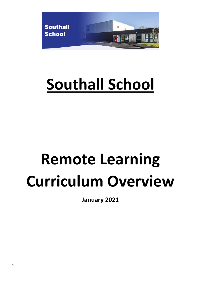

## **Southall School**

# **Remote Learning Curriculum Overview**

**January 2021**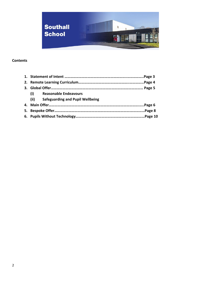

## **Contents**

| (i)  | <b>Reasonable Endeavours</b>            |  |  |  |  |
|------|-----------------------------------------|--|--|--|--|
| (ii) | <b>Safeguarding and Pupil Wellbeing</b> |  |  |  |  |
|      |                                         |  |  |  |  |
| 5.   |                                         |  |  |  |  |
|      |                                         |  |  |  |  |
|      |                                         |  |  |  |  |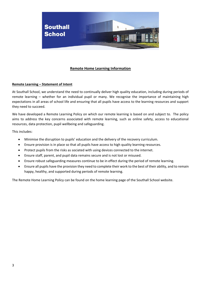

### **Remote Home Learning Information**

#### **Remote Learning – Statement of Intent**

At Southall School, we understand the need to continually deliver high quality education, including during periods of remote learning – whether for an individual pupil or many. We recognise the importance of maintaining high expectations in all areas of school life and ensuring that all pupils have access to the learning resources and support they need to succeed.

We have developed a Remote Learning Policy on which our remote learning is based on and subject to. The policy aims to address the key concerns associated with remote learning, such as online safety, access to educational resources, data protection, pupil wellbeing and safeguarding.

This includes:

- Minimise the disruption to pupils' education and the delivery of the recovery curriculum.
- Ensure provision is in place so that all pupils have access to high quality learning resources.
- Protect pupils from the risks as sociated with using devices connected to the internet.
- Ensure staff, parent, and pupil data remains secure and is not lost or misused.
- Ensure robust safeguarding measures continue to be in effect during the period of remote learning.
- Ensure all pupils have the provision they need to complete their work to the best of their ability, and to remain happy, healthy, and supported during periods of remote learning.

The Remote Home Learning Policy can be found on the home learning page of the Southall School website.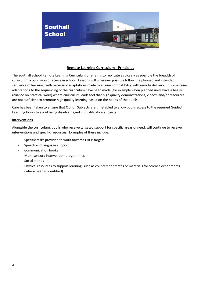

## **Remote Learning Curriculum - Principles**

The Southall School Remote Learning Curriculum offer aims to replicate as closely as possible the breadth of curriculum a pupil would receive in school. Lessons will wherever possible follow the planned and intended sequence of learning, with necessary adaptations made to ensure compatibility with remote delivery. In some cases, adaptations to the sequencing of the curriculum have been made (for example when planned units have a heavy reliance on practical work) where curriculum leads feel that high quality demonstrations, video's and/or resources are not sufficient to promote high quality learning based on the needs of the pupils.

Care has been taken to ensure that Option Subjects are timetabled to allow pupils access to the required Guided Learning Hours to avoid being disadvantaged in qualification subjects.

#### **Interventions**

Alongside the curriculum, pupils who receive targeted support for specific areas of need, will continue to receive interventions and specific resources. Examples of these include:

- Specific tasks provided to work towards EHCP targets
- Speech and language support
- Communication books
- Multi-sensory intervention programmes
- Social stories
- Physical resources to support learning, such as counters for maths or materials for Science experiments (where need is identified)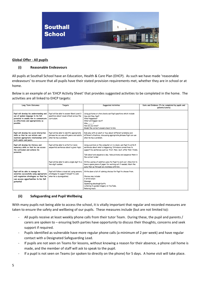

#### **Global Offer - All pupils**

#### **(i) Reasonable Endeavours**

All pupils at Southall School have an Education, Health & Care Plan (EHCP). As such we have made 'reasonable endeavours' to ensure that all pupils have their stated provision requirements met, whether they are in school or at home.

Below is an example of an 'EHCP Activity Sheet' that provides suggested activities to be completed in the home. The activities are all linked to EHCP targets:

| Long Term Outcomes                                                                                                                                                           | Targets                                                                                                            | <b>Suggested Activities</b>                                                                                                                                                                                                                                                                           | Date and Evidence (To be completed by pupils and<br>parents/carers) |
|------------------------------------------------------------------------------------------------------------------------------------------------------------------------------|--------------------------------------------------------------------------------------------------------------------|-------------------------------------------------------------------------------------------------------------------------------------------------------------------------------------------------------------------------------------------------------------------------------------------------------|---------------------------------------------------------------------|
| Pupil will develop his understanding and<br>use of spoken language to his full<br>potential to enable him to communicate<br>as effectively and appropriately as<br>possible. | Pupil will be able to answer Blank Level 3<br>questions about visual stimuli across the<br>curriculum.             | Using pictures or story books ask Pupil questions which include:<br>How did they feel?<br>What happened?<br>What will happen next?<br>$Why$ ?<br>How do you know?<br>Model the correct answers back to him.                                                                                           |                                                                     |
| Pupil will develop his social interaction<br>skills so that he can initiate and<br>maintain appropriate relationships with<br>both adults and peers.                         | Pupil will be able to identify appropriate<br>phrases he can use with peers and adults<br>when he has a problem.   | Role play with an adult or toys about different problems and<br>different situations, discussing appropriate phrases Pupil can use<br>when he has a problem.                                                                                                                                          |                                                                     |
| Pupil will develop his literacy and<br>numeracy skills so that he can access<br>the curriculum and achieve his<br>potential.                                                 | Pupil will be able to write 5 or more<br>sequential sentences about a given topic.                                 | Using a picture on the computer or in a book, ask Pupil to write 5<br>sentences about what is happening. Introduce connectives to<br>support his sentences such as: first, then, next, after that, finally.<br>Talk about and sequence a day, take pictures and sequence them in<br>the correct order |                                                                     |
|                                                                                                                                                                              | Pupil will be able to add a single digit to a<br>two-digit number.                                                 | Write a series of addition sums for Pupil to work out. Allow him to<br>have a spare piece of paper for working out if needed. Mark the<br>sums then go through any mistakes with him.                                                                                                                 |                                                                     |
| Pupil will be able to manage his<br>anxieties successfully using appropriate<br>self-regulation strategies so that he<br>can access opportunities to his full<br>potential   | Pupil will follow a visual aid, using sensory<br>strategies to support himself to calm<br>when he is dysregulated. | Write down a list of calming choices for Pupil to choose from.<br>Choices may include:<br>A drink/snack<br>Massage<br>Squeezing playdough/putty<br>Listening to guided imagery on YouTube,<br>Relaxing music                                                                                          |                                                                     |

#### **(ii) Safeguarding and Pupil Wellbeing**

With many pupils not being able to access the school, it is vitally important that regular and recorded measures are taken to ensure the safety and wellbeing of our pupils. These measures include (but are not limited to):

- All pupils receive at least weekly phone calls from their tutor Team. During these, the pupil and parents / carers are spoken to – ensuring both parties have opportunity to discuss their thoughts, concerns and seek support if required.
- Pupils identified as vulnerable have more regular phone calls (a minimum of 2 per week) and have regular contact with a Designated Safeguarding Lead.
- If pupils are not seen on Teams for lessons, without knowing a reason for their absence, a phone call home is made, and the member of staff will ask to speak to the pupil.
- If a pupil is not seen on Teams (or spoken to directly on the phone) for 5 days. A home visit will take place.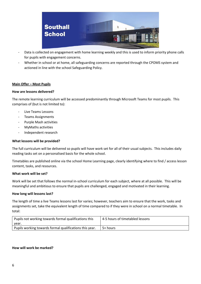

- Data is collected on engagement with home learning weekly and this is used to inform priority phone calls for pupils with engagement concerns.
- Whether in school or at home, all safeguarding concerns are reported through the CPOMS system and actioned in line with the school Safeguarding Policy.

#### **Main Offer – Most Pupils**

#### **How are lessons delivered?**

The remote learning curriculum will be accessed predominantly through Microsoft Teams for most pupils. This comprises of (but is not limited to):

- Live Teams Lessons
- Teams Assignments
- Purple Mash activities
- MyMaths activities
- Independent research

#### **What lessons will be provided?**

The full curriculum will be delivered so pupils will have work set for all of their usual subjects. This includes daily reading tasks set on a personalised basis for the whole school.

Timetables are published online via the school Home Learning page, clearly identifying where to find / access lesson content, tasks, and resources.

#### **What work will be set?**

Work will be set that follows the normal in-school curriculum for each subject, where at all possible. This will be meaningful and ambitious to ensure that pupils are challenged, engaged and motivated in their learning.

#### **How long will lessons last?**

The length of time a live Teams lessons last for varies; however, teachers aim to ensure that the work, tasks and assignments set, take the equivalent length of time compared to if they were in school on a normal timetable. In total:

| Pupils not working towards formal qualifications this   | 4-5 hours of timetabled lessons |  |  |
|---------------------------------------------------------|---------------------------------|--|--|
| year.                                                   |                                 |  |  |
| Pupils working towards formal qualifications this year. | 5+ hours                        |  |  |

#### **How will work be marked?**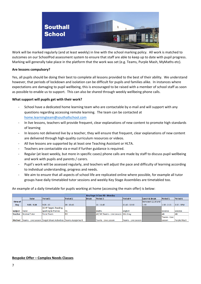

Work will be marked regularly (and at least weekly) in line with the school marking policy. All work is matched to outcomes on our SchoolPod assessment system to ensure that staff are able to keep up to date with pupil progress. Marking will generally take place in the platform that the work was set (e.g. Teams, Purple Mash, MyMaths etc).

#### **Are lessons compulsory?**

Yes, all pupils should be doing their best to complete all lessons provided to the best of their ability. We understand however, that periods of lockdown and isolation can be difficult for pupils and families alike. In instances where expectations are damaging to pupil wellbeing, this is encouraged to be raised with a member of school staff as soon as possible to enable us to support. This can also be shared through weekly wellbeing phone calls.

#### **What support will pupils get with their work?**

- School have a dedicated home learning team who are contactable by e-mail and will support with any questions regarding accessing remote learning. The team can be contacted at [home.learningteam@southallschool.com](http://home.learningteam@southallschool.com)
- In live lessons, teachers will provide frequent, clear explanations of new content to promote high standards of learning
- In lessons not delivered live by a teacher, they will ensure that frequent, clear explanations of new content are delivered through high-quality curriculum resources or videos.
- All live lessons are supported by at least one Teaching Assistant or HLTA.
- Teachers are contactable via e-mail if further guidance is required.
- Regular (at least weekly, but more in specific cases) phone calls are made by staff to discuss pupil wellbeing and work with pupils and parents / carers.
- Pupil's work will be assessed regularly, and teachers will adjust the pace and difficulty of learning according to individual understanding, progress and needs.
- We aim to ensure that all aspects of school life are replicated online where possible, for example all tutor groups have daily timetabled tutor sessions and weekly Key Stage Assemblies are timetabled too.

An example of a daily timetable for pupils working at home (accessing the main offer) is below:

| <b>Key Stage 3 Class RD - Monday</b> |               |                                                                           |              |              |                                      |                        |                   |                 |              |
|--------------------------------------|---------------|---------------------------------------------------------------------------|--------------|--------------|--------------------------------------|------------------------|-------------------|-----------------|--------------|
|                                      | <b>Tutor</b>  | <b>Period 1</b>                                                           | Period 2     | <b>Break</b> | Period 3                             | Period 4               | Lunch & Break     | <b>Period 5</b> | Period 6     |
| <b>Time of</b>                       |               |                                                                           |              |              |                                      |                        | between 12.30 and |                 |              |
| Day                                  | $9:05 - 9:20$ | $9:20 - 10$                                                               | $10 - 10:45$ |              | 11 - 11:45                           | $11:45 - 12:30$        | 1.30              | $1:30 - 2:15$   | $2:15 - 3PM$ |
|                                      |               | <b>ECHP Target, Reading,</b>                                              |              |              |                                      |                        |                   |                 |              |
| <b>Subject</b>                       | Tutor         | Spelling & Phonics                                                        | <b>IPE</b>   |              | Maths                                | English                |                   | lScience        | Science      |
| <b>Teacher</b>                       | Normal Tutor  | Tutor Team                                                                | <b>RD</b>    |              | AF/HY Teams - Live Lesson   Mrs Gray |                        |                   | AB              | AB           |
|                                      |               |                                                                           |              |              |                                      |                        |                   | lTeams - Live   |              |
|                                      |               | Method   Teams - Live Lesson   Target Sheet Activities   Teams Assignment |              |              | Teams - Live Lesson                  | lTeams - Live Lesson l |                   | Lesson          | Purple Mash  |

#### **Bespoke Offer – Complex Needs Classes**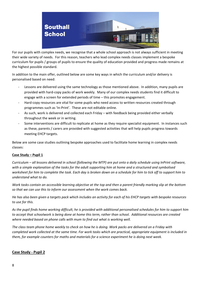

For our pupils with complex needs, we recognise that a whole school approach is not always sufficient in meeting their wide variety of needs. For this reason, teachers who lead complex needs classes implement a bespoke curriculum for pupils / groups of pupils to ensure the quality of education provided and progress made remains at the highest possible standard.

In addition to the main offer, outlined below are some key ways in which the curriculum and/or delivery is personalised based on need:

- Lessons are delivered using the same technology as those mentioned above. In addition, many pupils are provided with hard-copy packs of work weekly. Many of our complex needs students find it difficult to engage with a screen for extended periods of time – this promotes engagement.
- Hard-copy resources are vital for some pupils who need access to written resources created through programmes such as 'In-Print'. These are not editable online.
- As such, work is delivered and collected each Friday with feedback being provided either verbally throughout the week or in writing.
- Some interventions are difficult to replicate at home as they require specialist equipment. In instances such as these, parents / carers are provided with suggested activities that will help pupils progress towards meeting EHCP targets.

Below are some case studies outlining bespoke approaches used to facilitate home learning in complex needs classes:

## **Case Study – Pupil 1**

*Curriculum – all lessons delivered in school (following the MTP) are put onto a daily schedule using InPrint software, with a simple explanation of the tasks for the adult supporting him at home and a structured and symbolised worksheet for him to complete the task. Each day is broken down on a schedule for him to tick off to support him to understand what to do.* 

*Work tasks contain an accessible learning objective at the top and then a parent friendly marking slip at the bottom so that we can use this to inform our assessment when the work comes back.* 

*He has also been given a targets pack which includes an activity for each of his EHCP targets with bespoke resources to use for this.* 

*As the pupil finds home working difficult, he is provided with additional personalised schedules for him to support him to accept that schoolwork is being done at home this term, rather than school. Additional resources are created where needed based on phone calls with mum to find out what is working well.*

*The class team phone home weekly to check on how he is doing. Work packs are delivered on a Friday with completed work collected at the same time. For work tasks which are practical, appropriate equipment is included in them, for example counters for maths and materials for a science experiment he is doing next week.* 

## **Case Study - Pupil 2**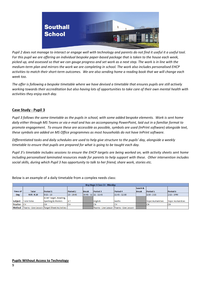

*Pupil 2 does not manage to interact or engage well with technology and parents do not find it useful it a useful tool. For this pupil we are offering an individual bespoke paper-based package that is taken to the house each week, picked up, and assessed so that we can gauge progress and set work as a next step. The work is in line with the medium-term plan and mirrors the work we are completing in school. The work also includes personalised EHCP activities to match their short-term outcomes. We are also sending home a reading book that we will change each week too.*

*The offer is following a bespoke timetable where we have devised a timetable that ensures pupils are still actively working towards their accreditation but also having lots of opportunities to take care of their own mental health with activities they enjoy each day.*

## **Case Study - Pupil 3**

*Pupil 3 follows the same timetable as the pupils in school, with some added bespoke elements. Work is sent home daily either through MS Teams or via e-mail and has an accompanying PowerPoint, laid out in a familiar format to promote engagement. To ensure these are accessible as possible, symbols are used (InPrint software) alongside text, these symbols are added on MS Office programmes as most households do not have InPrint software.*

*Differentiated tasks and daily schedules are used to help give structure to the pupils' day, alongside a weekly timetable to ensure that pupils are prepared for what is going to be taught each day.*

*Pupil 3's timetable includes sessions to ensure the EHCP targets are being worked on, with activity sheets sent home including personalised laminated resources made for parents to help support with these. Other intervention includes social skills, during which Pupil 3 has opportunity to talk to her friend, share work, stories etc.*

Below is an example of a daily timetable from a complex needs class:

| Key Stage 3 Class CH - Monday |               |                                             |                 |                             |                 |                                         |              |                  |                         |
|-------------------------------|---------------|---------------------------------------------|-----------------|-----------------------------|-----------------|-----------------------------------------|--------------|------------------|-------------------------|
|                               |               |                                             |                 |                             |                 |                                         | Lunch &      |                  |                         |
| Time of                       | <b>Tutor</b>  | <b>Period 1</b>                             | <b>Period 2</b> | <b>Break</b>                | <b>Period 3</b> | <b>Period 4</b>                         | <b>Break</b> | <b>Period 5</b>  | Period 6                |
| Day                           | $9.05 - 9.20$ | $9:15 - 10$                                 | $10 - 10:45$    | $10:45 - 11$   $11 - 11:45$ |                 | 11:45 - 12:30                           |              | $1:30 - 2:15$    | $2:15 - 3PM$            |
|                               |               | <b>ECHP Target, Reading,</b>                |                 |                             |                 |                                         |              |                  |                         |
| <b>Subject</b>                | Tutor time    | Spelling & Phonics                          | ICT             |                             | English         | <b>Maths</b>                            |              | Topic Humanities | <b>Topic Humanities</b> |
| Teacher                       | IСH           | <b>CH</b>                                   | <b>CH</b>       |                             | <b>CH</b>       | <b>CH</b>                               |              | Існ              | <b>CH</b>               |
| Method                        |               | Teams - Live Lesson Target Sheet Activities |                 |                             |                 | Teams - Live Lesson Teams - Live Lesson |              |                  |                         |